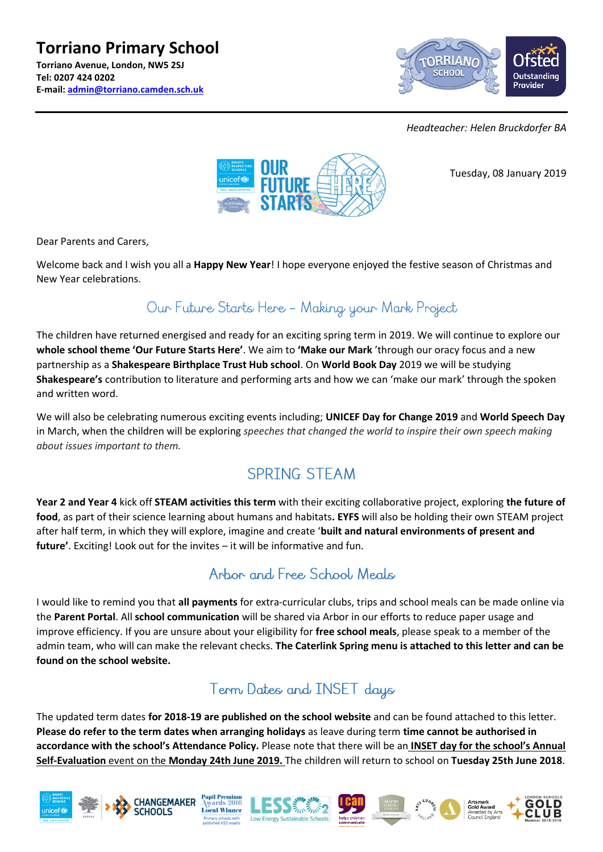#### **Torriano Primary School Torriano Avenue, London, NW5 2SJ Tel: 0207 424 0202 E-mail: [admin@torriano.camden.sch.uk](mailto:admin@torriano.camden.sch.uk)**



*Headteacher: Helen Bruckdorfer BA*



Tuesday, 08 January 2019

Dear Parents and Carers,

Welcome back and I wish you all a **Happy New Year**! I hope everyone enjoyed the festive season of Christmas and New Year celebrations.

## Our Future Starts Here - Making your Mark Project

The children have returned energised and ready for an exciting spring term in 2019. We will continue to explore our **whole school theme 'Our Future Starts Here'**. We aim to **'Make our Mark** 'through our oracy focus and a new partnership as a **Shakespeare Birthplace Trust Hub school**. On **World Book Day** 2019 we will be studying **Shakespeare's** contribution to literature and performing arts and how we can 'make our mark' through the spoken and written word.

We will also be celebrating numerous exciting events including; **UNICEF Day for Change 2019** and **World Speech Day**  in March, when the children will be exploring *speeches that changed the world to inspire their own speech making about issues important to them.*

# **SPRTNG STEAM**

**Year 2 and Year 4** kick off **STEAM activities this term** with their exciting collaborative project, exploring **the future of food**, as part of their science learning about humans and habitats**. EYFS** will also be holding their own STEAM project after half term, in which they will explore, imagine and create '**built and natural environments of present and future'**. Exciting! Look out for the invites – it will be informative and fun.

## Arbor and Free School, Meals

I would like to remind you that **all payments** for extra-curricular clubs, trips and school meals can be made online via the **Parent Portal**. All **school communication** will be shared via Arbor in our efforts to reduce paper usage and improve efficiency. If you are unsure about your eligibility for **free school meals**, please speak to a member of the admin team, who will can make the relevant checks. **The Caterlink Spring menu is attached to this letter and can be found on the school website.**

## Term Dates and INSET days

The updated term dates **for 2018-19 are published on the school website** and can be found attached to this letter. **Please do refer to the term dates when arranging holidays** as leave during term **time cannot be authorised in accordance with the school's Attendance Policy.** Please note that there will be an **INSET day for the school's Annual Self-Evaluation** event on the **Monday 24th June 2019.** The children will return to school on **Tuesday 25th June 2018**.







 $ds$  2016 **Local Winner**